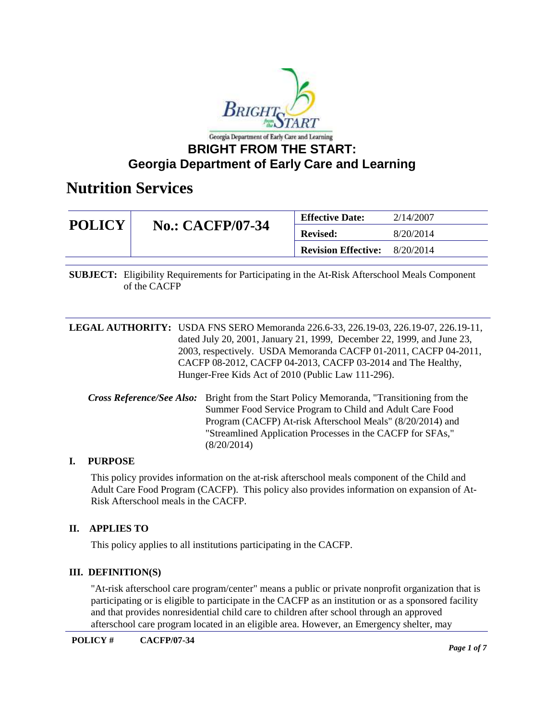

| <b>POLICY</b> |                         | <b>Effective Date:</b>     | 2/14/2007 |
|---------------|-------------------------|----------------------------|-----------|
|               | <b>No.: CACFP/07-34</b> | <b>Revised:</b>            | 8/20/2014 |
|               |                         | <b>Revision Effective:</b> | 8/20/2014 |

**SUBJECT:** Eligibility Requirements for Participating in the At-Risk Afterschool Meals Component of the CACFP

**LEGAL AUTHORITY:** USDA FNS SERO Memoranda 226.6-33, 226.19-03, 226.19-07, 226.19-11, dated July 20, 2001, January 21, 1999, December 22, 1999, and June 23, 2003, respectively. USDA Memoranda CACFP 01-2011, CACFP 04-2011, CACFP 08-2012, CACFP 04-2013, CACFP 03-2014 and The Healthy, Hunger-Free Kids Act of 2010 (Public Law 111-296).

*Cross Reference/See Also:* Bright from the Start Policy Memoranda, "Transitioning from the Summer Food Service Program to Child and Adult Care Food Program (CACFP) At-risk Afterschool Meals" (8/20/2014) and "Streamlined Application Processes in the CACFP for SFAs," (8/20/2014)

#### **I. PURPOSE**

This policy provides information on the at-risk afterschool meals component of the Child and Adult Care Food Program (CACFP). This policy also provides information on expansion of At-Risk Afterschool meals in the CACFP.

#### **II. APPLIES TO**

This policy applies to all institutions participating in the CACFP.

#### **III. DEFINITION(S)**

"At-risk afterschool care program/center" means a public or private nonprofit organization that is participating or is eligible to participate in the CACFP as an institution or as a sponsored facility and that provides nonresidential child care to children after school through an approved afterschool care program located in an eligible area. However, an Emergency shelter, may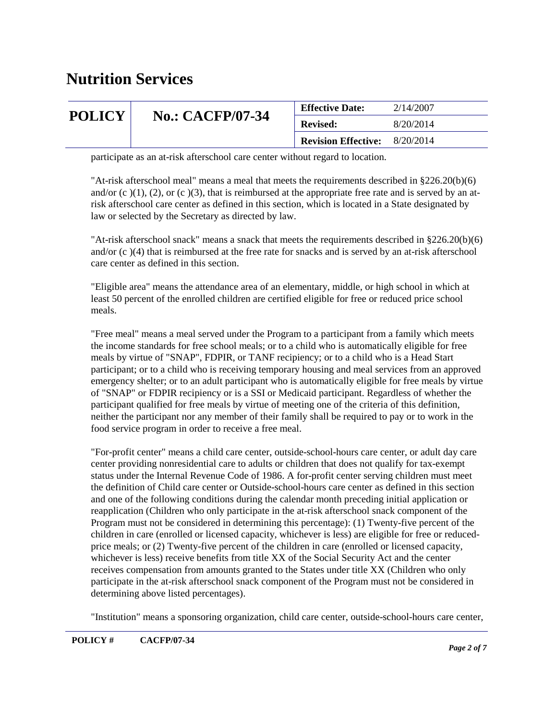| <b>POLICY</b> |                         | <b>Effective Date:</b>     | 2/14/2007<br>8/20/2014 |
|---------------|-------------------------|----------------------------|------------------------|
|               | <b>No.: CACFP/07-34</b> | <b>Revised:</b>            |                        |
|               |                         | <b>Revision Effective:</b> | 8/20/2014              |

participate as an at-risk afterschool care center without regard to location.

"At-risk afterschool meal" means a meal that meets the requirements described in §226.20(b)(6) and/or (c)(1), (2), or (c)(3), that is reimbursed at the appropriate free rate and is served by an atrisk afterschool care center as defined in this section, which is located in a State designated by law or selected by the Secretary as directed by law.

"At-risk afterschool snack" means a snack that meets the requirements described in §226.20(b)(6) and/or (c )(4) that is reimbursed at the free rate for snacks and is served by an at-risk afterschool care center as defined in this section.

"Eligible area" means the attendance area of an elementary, middle, or high school in which at least 50 percent of the enrolled children are certified eligible for free or reduced price school meals.

"Free meal" means a meal served under the Program to a participant from a family which meets the income standards for free school meals; or to a child who is automatically eligible for free meals by virtue of "SNAP", FDPIR, or TANF recipiency; or to a child who is a Head Start participant; or to a child who is receiving temporary housing and meal services from an approved emergency shelter; or to an adult participant who is automatically eligible for free meals by virtue of "SNAP" or FDPIR recipiency or is a SSI or Medicaid participant. Regardless of whether the participant qualified for free meals by virtue of meeting one of the criteria of this definition, neither the participant nor any member of their family shall be required to pay or to work in the food service program in order to receive a free meal.

"For-profit center" means a child care center, outside-school-hours care center, or adult day care center providing nonresidential care to adults or children that does not qualify for tax-exempt status under the Internal Revenue Code of 1986. A for-profit center serving children must meet the definition of Child care center or Outside-school-hours care center as defined in this section and one of the following conditions during the calendar month preceding initial application or reapplication (Children who only participate in the at-risk afterschool snack component of the Program must not be considered in determining this percentage): (1) Twenty-five percent of the children in care (enrolled or licensed capacity, whichever is less) are eligible for free or reducedprice meals; or (2) Twenty-five percent of the children in care (enrolled or licensed capacity, whichever is less) receive benefits from title XX of the Social Security Act and the center receives compensation from amounts granted to the States under title XX (Children who only participate in the at-risk afterschool snack component of the Program must not be considered in determining above listed percentages).

"Institution" means a sponsoring organization, child care center, outside-school-hours care center,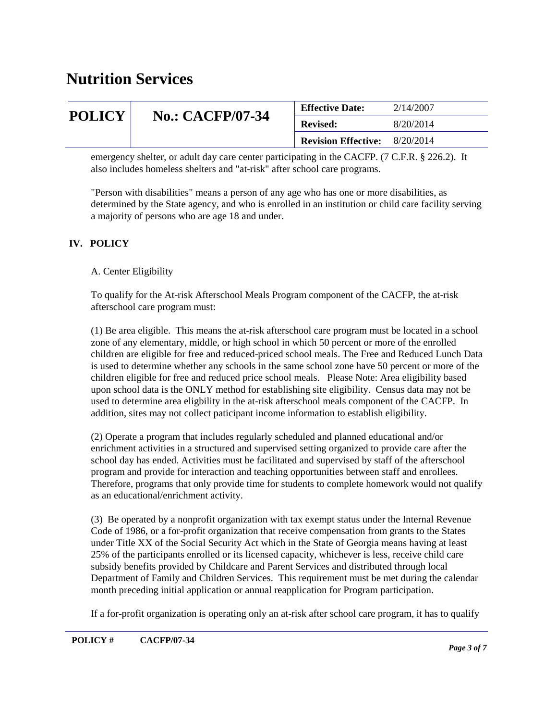| <b>POLICY</b> |                         | <b>Effective Date:</b>     | 2/14/2007 |
|---------------|-------------------------|----------------------------|-----------|
|               | <b>No.: CACFP/07-34</b> | <b>Revised:</b>            | 8/20/2014 |
|               |                         | <b>Revision Effective:</b> | 8/20/2014 |

emergency shelter, or adult day care center participating in the CACFP. (7 C.F.R. § 226.2). It also includes homeless shelters and "at-risk" after school care programs.

"Person with disabilities" means a person of any age who has one or more disabilities, as determined by the State agency, and who is enrolled in an institution or child care facility serving a majority of persons who are age 18 and under.

### **IV. POLICY**

### A. Center Eligibility

To qualify for the At-risk Afterschool Meals Program component of the CACFP, the at-risk afterschool care program must:

(1) Be area eligible. This means the at-risk afterschool care program must be located in a school zone of any elementary, middle, or high school in which 50 percent or more of the enrolled children are eligible for free and reduced-priced school meals. The Free and Reduced Lunch Data is used to determine whether any schools in the same school zone have 50 percent or more of the children eligible for free and reduced price school meals. Please Note: Area eligibility based upon school data is the ONLY method for establishing site eligibility. Census data may not be used to determine area eligbility in the at-risk afterschool meals component of the CACFP. In addition, sites may not collect paticipant income information to establish eligibility.

(2) Operate a program that includes regularly scheduled and planned educational and/or enrichment activities in a structured and supervised setting organized to provide care after the school day has ended. Activities must be facilitated and supervised by staff of the afterschool program and provide for interaction and teaching opportunities between staff and enrollees. Therefore, programs that only provide time for students to complete homework would not qualify as an educational/enrichment activity.

(3) Be operated by a nonprofit organization with tax exempt status under the Internal Revenue Code of 1986, or a for-profit organization that receive compensation from grants to the States under Title XX of the Social Security Act which in the State of Georgia means having at least 25% of the participants enrolled or its licensed capacity, whichever is less, receive child care subsidy benefits provided by Childcare and Parent Services and distributed through local Department of Family and Children Services. This requirement must be met during the calendar month preceding initial application or annual reapplication for Program participation.

If a for-profit organization is operating only an at-risk after school care program, it has to qualify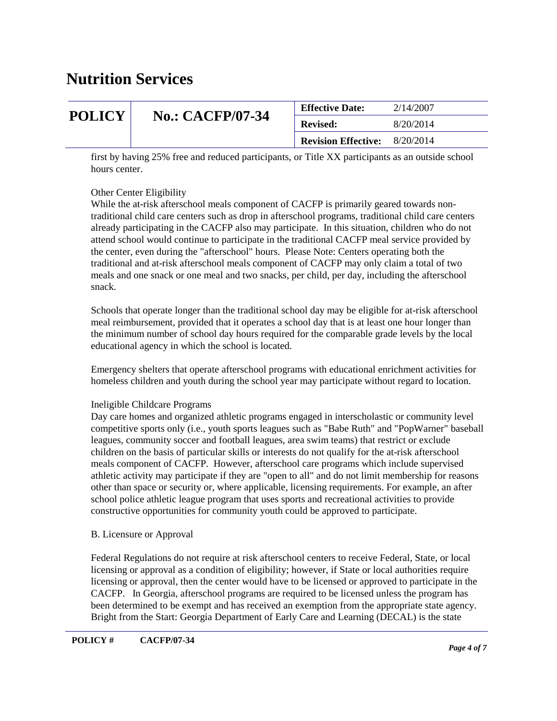| <b>POLICY</b> |                         | <b>Effective Date:</b>     | 2/14/2007 |
|---------------|-------------------------|----------------------------|-----------|
|               | <b>No.: CACFP/07-34</b> | <b>Revised:</b>            | 8/20/2014 |
|               |                         | <b>Revision Effective:</b> | 8/20/2014 |

first by having 25% free and reduced participants, or Title XX participants as an outside school hours center.

#### Other Center Eligibility

While the at-risk afterschool meals component of CACFP is primarily geared towards nontraditional child care centers such as drop in afterschool programs, traditional child care centers already participating in the CACFP also may participate. In this situation, children who do not attend school would continue to participate in the traditional CACFP meal service provided by the center, even during the "afterschool" hours. Please Note: Centers operating both the traditional and at-risk afterschool meals component of CACFP may only claim a total of two meals and one snack or one meal and two snacks, per child, per day, including the afterschool snack.

Schools that operate longer than the traditional school day may be eligible for at-risk afterschool meal reimbursement, provided that it operates a school day that is at least one hour longer than the minimum number of school day hours required for the comparable grade levels by the local educational agency in which the school is located.

Emergency shelters that operate afterschool programs with educational enrichment activities for homeless children and youth during the school year may participate without regard to location.

#### Ineligible Childcare Programs

Day care homes and organized athletic programs engaged in interscholastic or community level competitive sports only (i.e., youth sports leagues such as "Babe Ruth" and "PopWarner" baseball leagues, community soccer and football leagues, area swim teams) that restrict or exclude children on the basis of particular skills or interests do not qualify for the at-risk afterschool meals component of CACFP. However, afterschool care programs which include supervised athletic activity may participate if they are "open to all" and do not limit membership for reasons other than space or security or, where applicable, licensing requirements. For example, an after school police athletic league program that uses sports and recreational activities to provide constructive opportunities for community youth could be approved to participate.

#### B. Licensure or Approval

Federal Regulations do not require at risk afterschool centers to receive Federal, State, or local licensing or approval as a condition of eligibility; however, if State or local authorities require licensing or approval, then the center would have to be licensed or approved to participate in the CACFP. In Georgia, afterschool programs are required to be licensed unless the program has been determined to be exempt and has received an exemption from the appropriate state agency. Bright from the Start: Georgia Department of Early Care and Learning (DECAL) is the state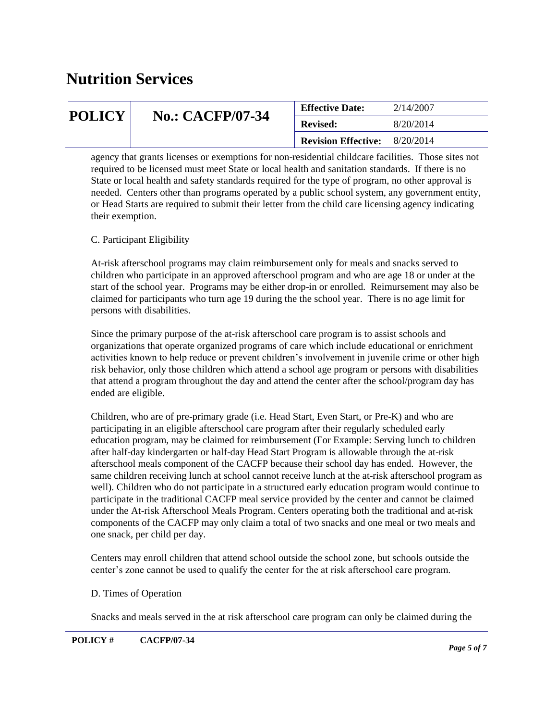| <b>POLICY</b> |                         | <b>Effective Date:</b>     | 2/14/2007 |
|---------------|-------------------------|----------------------------|-----------|
|               | <b>No.: CACFP/07-34</b> | <b>Revised:</b>            | 8/20/2014 |
|               |                         | <b>Revision Effective:</b> | 8/20/2014 |

agency that grants licenses or exemptions for non-residential childcare facilities. Those sites not required to be licensed must meet State or local health and sanitation standards. If there is no State or local health and safety standards required for the type of program, no other approval is needed. Centers other than programs operated by a public school system, any government entity, or Head Starts are required to submit their letter from the child care licensing agency indicating their exemption.

#### C. Participant Eligibility

At-risk afterschool programs may claim reimbursement only for meals and snacks served to children who participate in an approved afterschool program and who are age 18 or under at the start of the school year. Programs may be either drop-in or enrolled. Reimursement may also be claimed for participants who turn age 19 during the the school year. There is no age limit for persons with disabilities.

Since the primary purpose of the at-risk afterschool care program is to assist schools and organizations that operate organized programs of care which include educational or enrichment activities known to help reduce or prevent children's involvement in juvenile crime or other high risk behavior, only those children which attend a school age program or persons with disabilities that attend a program throughout the day and attend the center after the school/program day has ended are eligible.

Children, who are of pre-primary grade (i.e. Head Start, Even Start, or Pre-K) and who are participating in an eligible afterschool care program after their regularly scheduled early education program, may be claimed for reimbursement (For Example: Serving lunch to children after half-day kindergarten or half-day Head Start Program is allowable through the at-risk afterschool meals component of the CACFP because their school day has ended. However, the same children receiving lunch at school cannot receive lunch at the at-risk afterschool program as well). Children who do not participate in a structured early education program would continue to participate in the traditional CACFP meal service provided by the center and cannot be claimed under the At-risk Afterschool Meals Program. Centers operating both the traditional and at-risk components of the CACFP may only claim a total of two snacks and one meal or two meals and one snack, per child per day.

Centers may enroll children that attend school outside the school zone, but schools outside the center's zone cannot be used to qualify the center for the at risk afterschool care program.

#### D. Times of Operation

Snacks and meals served in the at risk afterschool care program can only be claimed during the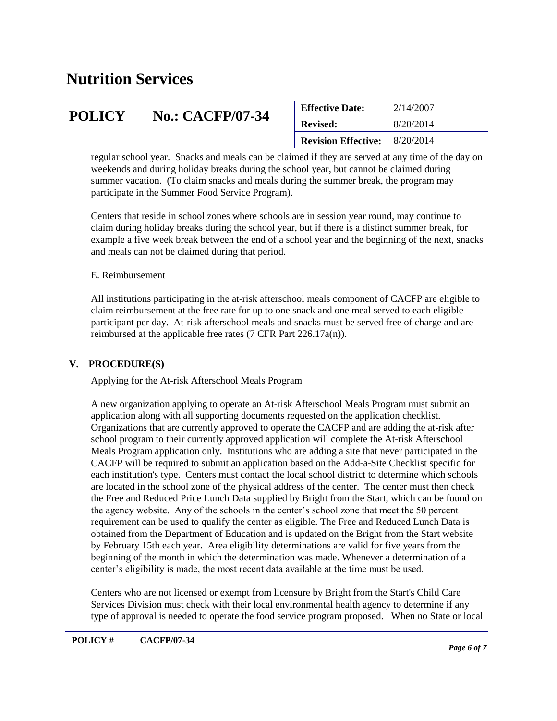| <b>POLICY</b> |                         | <b>Effective Date:</b>     | 2/14/2007 |
|---------------|-------------------------|----------------------------|-----------|
|               | <b>No.: CACFP/07-34</b> | <b>Revised:</b>            | 8/20/2014 |
|               |                         | <b>Revision Effective:</b> | 8/20/2014 |

regular school year. Snacks and meals can be claimed if they are served at any time of the day on weekends and during holiday breaks during the school year, but cannot be claimed during summer vacation. (To claim snacks and meals during the summer break, the program may participate in the Summer Food Service Program).

Centers that reside in school zones where schools are in session year round, may continue to claim during holiday breaks during the school year, but if there is a distinct summer break, for example a five week break between the end of a school year and the beginning of the next, snacks and meals can not be claimed during that period.

#### E. Reimbursement

All institutions participating in the at-risk afterschool meals component of CACFP are eligible to claim reimbursement at the free rate for up to one snack and one meal served to each eligible participant per day. At-risk afterschool meals and snacks must be served free of charge and are reimbursed at the applicable free rates (7 CFR Part 226.17a(n)).

#### **V. PROCEDURE(S)**

Applying for the At-risk Afterschool Meals Program

A new organization applying to operate an At-risk Afterschool Meals Program must submit an application along with all supporting documents requested on the application checklist. Organizations that are currently approved to operate the CACFP and are adding the at-risk after school program to their currently approved application will complete the At-risk Afterschool Meals Program application only. Institutions who are adding a site that never participated in the CACFP will be required to submit an application based on the Add-a-Site Checklist specific for each institution's type. Centers must contact the local school district to determine which schools are located in the school zone of the physical address of the center. The center must then check the Free and Reduced Price Lunch Data supplied by Bright from the Start, which can be found on the agency website. Any of the schools in the center's school zone that meet the 50 percent requirement can be used to qualify the center as eligible. The Free and Reduced Lunch Data is obtained from the Department of Education and is updated on the Bright from the Start website by February 15th each year. Area eligibility determinations are valid for five years from the beginning of the month in which the determination was made. Whenever a determination of a center's eligibility is made, the most recent data available at the time must be used.

Centers who are not licensed or exempt from licensure by Bright from the Start's Child Care Services Division must check with their local environmental health agency to determine if any type of approval is needed to operate the food service program proposed. When no State or local